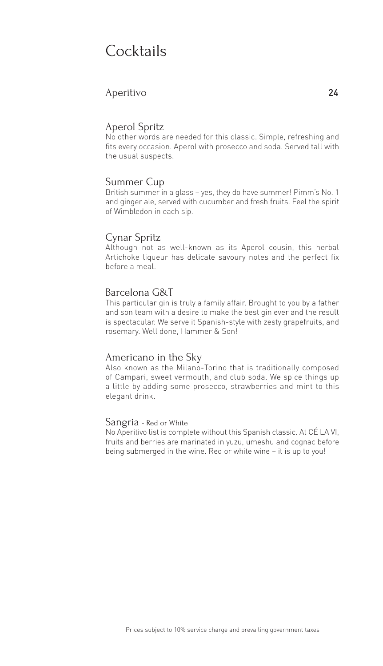### Cocktails

#### Aperitivo 24

#### Aperol Spritz

No other words are needed for this classic. Simple, refreshing and fits every occasion. Aperol with prosecco and soda. Served tall with the usual suspects.

#### Summer Cup

British summer in a glass – yes, they do have summer! Pimm's No. 1 and ginger ale, served with cucumber and fresh fruits. Feel the spirit of Wimbledon in each sip.

#### Cynar Spritz

Although not as well-known as its Aperol cousin, this herbal Artichoke liqueur has delicate savoury notes and the perfect fix before a meal.

#### Barcelona G&T

This particular gin is truly a family affair. Brought to you by a father and son team with a desire to make the best gin ever and the result is spectacular. We serve it Spanish-style with zesty grapefruits, and rosemary. Well done, Hammer & Son!

#### Americano in the Sky

Also known as the Milano-Torino that is traditionally composed of Campari, sweet vermouth, and club soda. We spice things up a little by adding some prosecco, strawberries and mint to this elegant drink.

#### Sangria - Red or White

No Aperitivo list is complete without this Spanish classic. At CÉ LA VI, fruits and berries are marinated in yuzu, umeshu and cognac before being submerged in the wine. Red or white wine – it is up to you!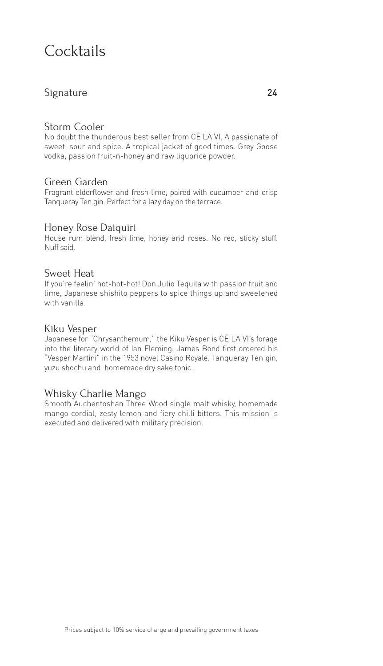### Cocktails

#### Signature 24

#### Storm Cooler

No doubt the thunderous best seller from CÉ LA VI. A passionate of sweet, sour and spice. A tropical jacket of good times. Grey Goose vodka, passion fruit-n-honey and raw liquorice powder.

#### Green Garden

Fragrant elderflower and fresh lime, paired with cucumber and crisp Tanqueray Ten gin. Perfect for a lazy day on the terrace.

#### Honey Rose Daiquiri

House rum blend, fresh lime, honey and roses. No red, sticky stuff. Nuff said.

#### Sweet Heat

If you're feelin' hot-hot-hot! Don Julio Tequila with passion fruit and lime, Japanese shishito peppers to spice things up and sweetened with vanilla.

#### Kiku Vesper

Japanese for "Chrysanthemum," the Kiku Vesper is CÉ LA VI's forage into the literary world of Ian Fleming. James Bond first ordered his "Vesper Martini" in the 1953 novel Casino Royale. Tanqueray Ten gin, yuzu shochu and homemade dry sake tonic.

#### Whisky Charlie Mango

Smooth Auchentoshan Three Wood single malt whisky, homemade mango cordial, zesty lemon and fiery chilli bitters. This mission is executed and delivered with military precision.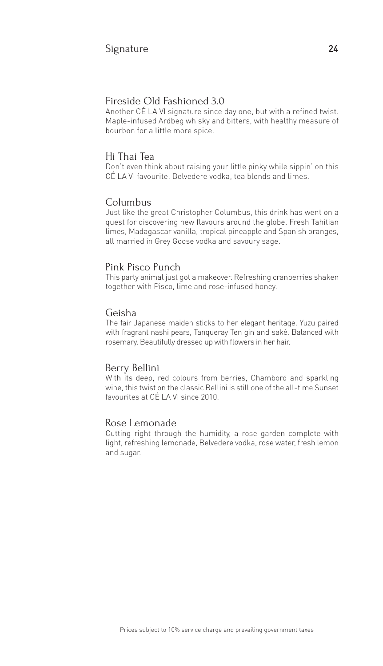#### Fireside Old Fashioned 3.0

Another CÉ LA VI signature since day one, but with a refined twist. Maple-infused Ardbeg whisky and bitters, with healthy measure of bourbon for a little more spice.

#### Hi Thai Tea

Don't even think about raising your little pinky while sippin' on this CÉ LA VI favourite. Belvedere vodka, tea blends and limes.

#### Columbus

Just like the great Christopher Columbus, this drink has went on a quest for discovering new flavours around the globe. Fresh Tahitian limes, Madagascar vanilla, tropical pineapple and Spanish oranges, all married in Grey Goose vodka and savoury sage.

#### Pink Pisco Punch

This party animal just got a makeover. Refreshing cranberries shaken together with Pisco, lime and rose-infused honey.

#### Geisha

The fair Japanese maiden sticks to her elegant heritage. Yuzu paired with fragrant nashi pears, Tanqueray Ten gin and saké. Balanced with rosemary. Beautifully dressed up with flowers in her hair.

#### Berry Bellini

With its deep, red colours from berries, Chambord and sparkling wine, this twist on the classic Bellini is still one of the all-time Sunset favourites at CÉ LA VI since 2010.

#### Rose Lemonade

Cutting right through the humidity, a rose garden complete with light, refreshing lemonade, Belvedere vodka, rose water, fresh lemon and sugar.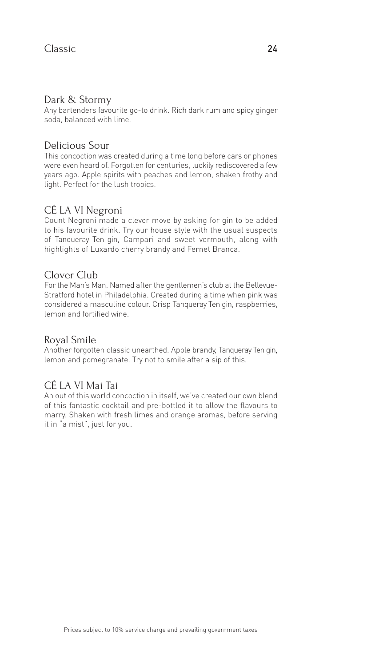#### Dark & Stormy

Any bartenders favourite go-to drink. Rich dark rum and spicy ginger soda, balanced with lime.

#### Delicious Sour

This concoction was created during a time long before cars or phones were even heard of. Forgotten for centuries, luckily rediscovered a few years ago. Apple spirits with peaches and lemon, shaken frothy and light. Perfect for the lush tropics.

#### CÉ LA VI Negroni

Count Negroni made a clever move by asking for gin to be added to his favourite drink. Try our house style with the usual suspects of Tanqueray Ten gin, Campari and sweet vermouth, along with highlights of Luxardo cherry brandy and Fernet Branca.

#### Clover Club

For the Man's Man. Named after the gentlemen's club at the Bellevue-Stratford hotel in Philadelphia. Created during a time when pink was considered a masculine colour. Crisp Tanqueray Ten gin, raspberries, lemon and fortified wine.

#### Royal Smile

Another forgotten classic unearthed. Apple brandy, Tanqueray Ten gin, lemon and pomegranate. Try not to smile after a sip of this.

### CÉ LA VI Mai Tai

An out of this world concoction in itself, we've created our own blend of this fantastic cocktail and pre-bottled it to allow the flavours to marry. Shaken with fresh limes and orange aromas, before serving it in "a mist", just for you.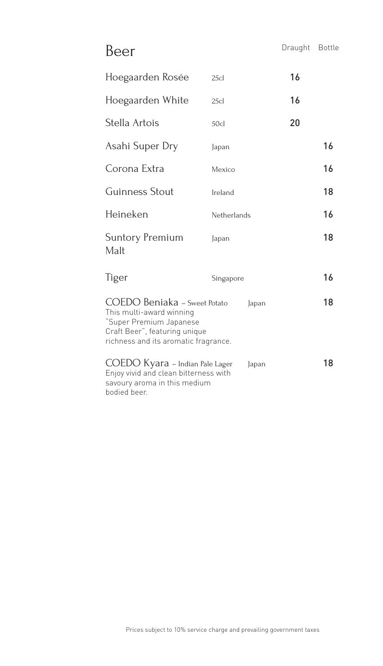Beer Draught Bottle

| Hoegaarden Rosée                                                                                                                                             | 25c         | 16 |    |
|--------------------------------------------------------------------------------------------------------------------------------------------------------------|-------------|----|----|
| Hoegaarden White                                                                                                                                             | 25cl        | 16 |    |
| Stella Artois                                                                                                                                                | 50c         | 20 |    |
| Asahi Super Dry                                                                                                                                              | Japan       |    | 16 |
| Corona Extra                                                                                                                                                 | Mexico      |    | 16 |
| Guinness Stout                                                                                                                                               | Ireland     |    | 18 |
| Heineken                                                                                                                                                     | Netherlands |    | 16 |
| Suntory Premium<br>Malt                                                                                                                                      | Japan       |    | 18 |
| Tiger                                                                                                                                                        | Singapore   |    | 16 |
| COEDO Beniaka - Sweet Potato<br>This multi-award winning<br>"Super Premium Japanese<br>Craft Beer", featuring unique<br>richness and its aromatic fragrance. | Japan       |    | 18 |
| COEDO Kyara - Indian Pale Lager<br>Enjoy vivid and clean bitterness with<br>savoury aroma in this medium<br>bodied beer.                                     | Japan       |    | 18 |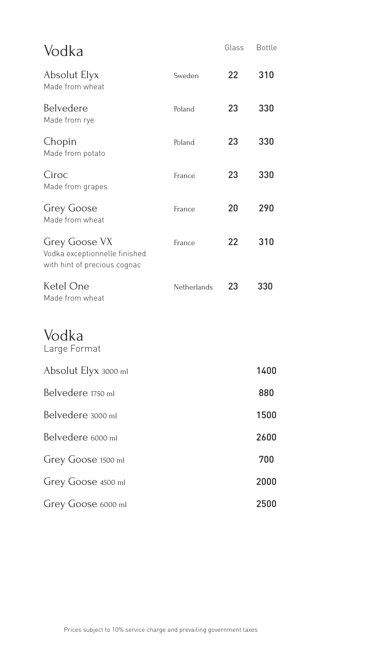| Vodka                                                                                 |             | Glass | <b>Bottle</b> |
|---------------------------------------------------------------------------------------|-------------|-------|---------------|
| Absolut Elyx<br>Made from wheat                                                       | Sweden      | 22    | 310           |
| Belvedere<br>Made from rye                                                            | Poland      | 23    | 330           |
| Chopin<br>Made from potato                                                            | Poland      | 23    | 330           |
| Ciroc<br>Made from grapes                                                             | France      | 23    | 330           |
| <b>Grey Goose</b><br>Made from wheat                                                  | France      | 20    | 290           |
| <b>Grey Goose VX</b><br>Vodka exceptionnelle finished<br>with hint of precious cognac | France      | 22    | 310           |
| Ketel One<br>Made from wheat                                                          | Netherlands | 23    | 330           |
| Vodka<br>Large Format                                                                 |             |       |               |
| Absolut Elyx 3000 ml                                                                  |             |       | 1400          |
| Belvedere 1750 ml                                                                     |             |       | 880           |
| Belvedere 3000 ml                                                                     |             |       | 1500          |
| Belvedere 6000 ml                                                                     |             |       | 2600          |
| Grey Goose 1500 ml                                                                    |             |       | 700           |
| Grey Goose 4500 ml                                                                    |             |       | 2000          |
| Grey Goose 6000 ml                                                                    |             |       | 2500          |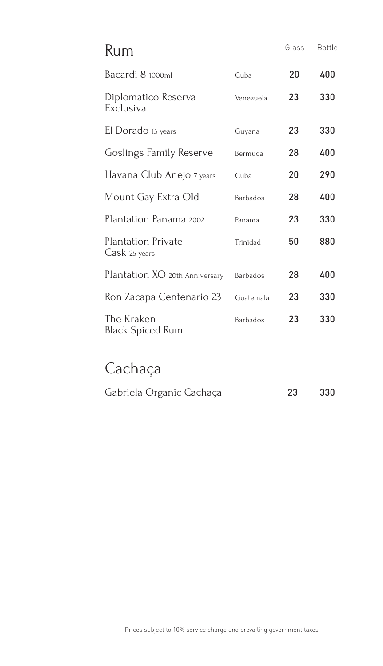| Rum                                        |                 | Glass | <b>Bottle</b> |
|--------------------------------------------|-----------------|-------|---------------|
| Bacardi 8 1000ml                           | Cuba            | 20    | 400           |
| Diplomatico Reserva<br>Exclusiva           | Venezuela       | 23    | 330           |
| El Dorado 15 years                         | Guyana          | 23    | 330           |
| Goslings Family Reserve                    | Bermuda         | 28    | 400           |
| Havana Club Anejo 7 years                  | Cuba            | 20    | 290           |
| Mount Gay Extra Old                        | <b>Barbados</b> | 28    | 400           |
| Plantation Panama 2002                     | Panama          | 23    | 330           |
| <b>Plantation Private</b><br>Cask 25 years | Trinidad        | 50    | 880           |
| Plantation XO 20th Anniversary             | <b>Barbados</b> | 28    | 400           |
| Ron Zacapa Centenario 23                   | Guatemala       | 23    | 330           |
| The Kraken<br>Black Spiced Rum             | <b>Barbados</b> | 23    | 330           |

## Cachaça

| Gabriela Organic Cachaça | 23 | 330 |
|--------------------------|----|-----|
|                          |    |     |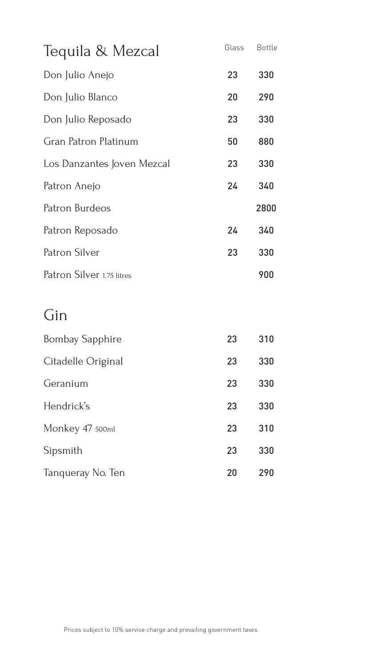| Tequila & Mezcal           | Glass | <b>Bottle</b> |
|----------------------------|-------|---------------|
| Don Julio Anejo            | 23    | 330           |
| Don Julio Blanco           | 20    | 290           |
| Don Julio Reposado         | 23    | 330           |
| Gran Patron Platinum       | 50    | 880           |
| Los Danzantes Joven Mezcal | 23    | 330           |
| Patron Anejo               | 24    | 340           |
| Patron Burdeos             |       | 2800          |
| Patron Reposado            | 24    | 340           |
| Patron Silver              | 23    | 330           |
| Patron Silver 1.75 litres  |       | 900           |
|                            |       |               |

## Gin

| <b>Bombay Sapphire</b> | 23 | 310 |
|------------------------|----|-----|
| Citadelle Original     | 23 | 330 |
| Geranium               | 23 | 330 |
| Hendrick's             | 23 | 330 |
| Monkey 47 500ml        | 23 | 310 |
| Sipsmith               | 23 | 330 |
| Tanqueray No. Ten      | 20 | 290 |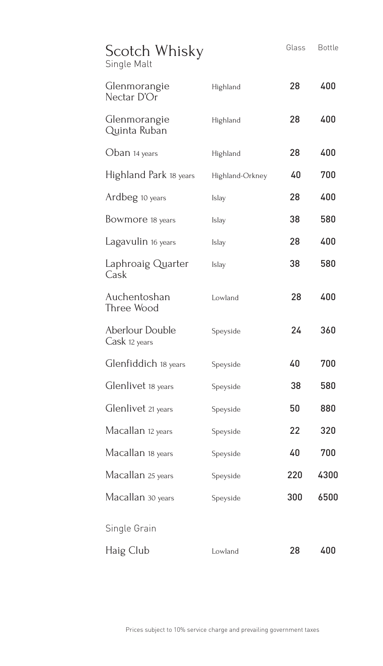| Scotch Whisky<br>Single Malt     |                 | Glass | <b>Bottle</b> |
|----------------------------------|-----------------|-------|---------------|
| Glenmorangie<br>Nectar D'Or      | Highland        | 28    | 400           |
| Glenmorangie<br>Quinta Ruban     | Highland        | 28    | 400           |
| Oban 14 years                    | Highland        | 28    | 400           |
| Highland Park 18 years           | Highland-Orkney | 40    | 700           |
| Ardbeg 10 years                  | <b>Islay</b>    | 28    | 400           |
| Bowmore 18 years                 | <b>Islay</b>    | 38    | 580           |
| Lagavulin 16 years               | <b>Islay</b>    | 28    | 400           |
| Laphroaig Quarter<br>Cask        | <b>Islay</b>    | 38    | 580           |
| Auchentoshan<br>Three Wood       | Lowland         | 28    | 400           |
| Aberlour Double<br>Cask 12 years | Speyside        | 24    | 360           |
| Glenfiddich 18 years             | Speyside        | 40    | 700           |
| Glenlivet 18 years               | Speyside        | 38    | 580           |
| Glenlivet 21 years               | Speyside        | 50    | 880           |
| Macallan 12 years                | Speyside        | 22    | 320           |
| Macallan 18 years                | Speyside        | 40    | 700           |
| Macallan 25 years                | Speyside        | 220   | 4300          |
| Macallan 30 years                | Speyside        | 300   | 6500          |
| Single Grain                     |                 |       |               |
| Haig Club                        | Lowland         | 28    | 400           |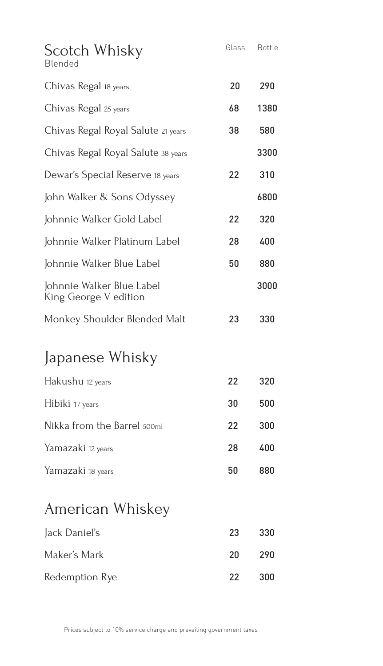| Scotch Whisky<br>Blended                           | Glass | <b>Bottle</b> |
|----------------------------------------------------|-------|---------------|
| Chivas Regal 18 years                              | 20    | 290           |
| Chivas Regal 25 years                              | 68    | 1380          |
| Chivas Regal Royal Salute 21 years                 | 38    | 580           |
| Chivas Regal Royal Salute 38 years                 |       | 3300          |
| Dewar's Special Reserve 18 years                   | 22    | 310           |
| John Walker & Sons Odyssey                         |       | 6800          |
| Johnnie Walker Gold Label                          | 22    | 320           |
| Johnnie Walker Platinum Label                      | 28    | 400           |
| Johnnie Walker Blue Label                          | 50    | 880           |
| Johnnie Walker Blue Label<br>King George V edition |       | 3000          |
| Monkey Shoulder Blended Malt                       | 23    | 330           |
| Japanese Whisky                                    |       |               |
| Hakushu 12 years                                   | 22    | 320           |
| Hibiki 17 years                                    | 30    | 500           |
| Nikka from the Barrel 500ml                        | 22    | 300           |
| Yamazaki 12 years                                  | 28    | 400           |
| Yamazaki 18 years                                  | 50    | 880           |
| American Whiskey                                   |       |               |
| Jack Daniel's                                      | 23    | 330           |

| Jack Daniel's  | -23 - | - 330 |
|----------------|-------|-------|
| Maker's Mark   | 20.   | -290  |
| Redemption Rye | -22   | 300   |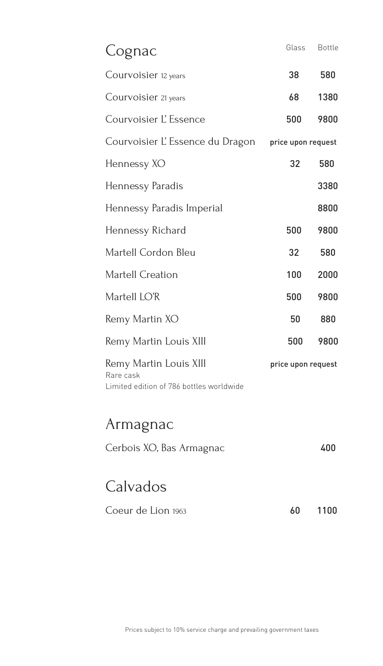| Cognac                                                                          | Glass              | <b>Bottle</b> |
|---------------------------------------------------------------------------------|--------------------|---------------|
| Courvoisier 12 years                                                            | 38                 | 580           |
| Courvoisier 21 years                                                            | 68                 | 1380          |
| Courvoisier L'Essence                                                           | 500                | 9800          |
| Courvoisier L'Essence du Dragon                                                 | price upon request |               |
| Hennessy XO                                                                     | 32                 | 580           |
| Hennessy Paradis                                                                |                    | 3380          |
| Hennessy Paradis Imperial                                                       |                    | 8800          |
| Hennessy Richard                                                                | 500                | 9800          |
| Martell Cordon Bleu                                                             | 32                 | 580           |
| Martell Creation                                                                | 100                | 2000          |
| Martell LO'R                                                                    | 500                | 9800          |
| Remy Martin XO                                                                  | 50                 | 880           |
| Remy Martin Louis XIII                                                          | 500                | 9800          |
| Remy Martin Louis XIII<br>Rare cask<br>Limited edition of 786 bottles worldwide | price upon request |               |
| Armagnac                                                                        |                    |               |
| Cerbois XO, Bas Armagnac                                                        |                    | 400           |
| Calvados                                                                        |                    |               |

| Coeur de Lion 1963 |  | 60 1100 |
|--------------------|--|---------|
|--------------------|--|---------|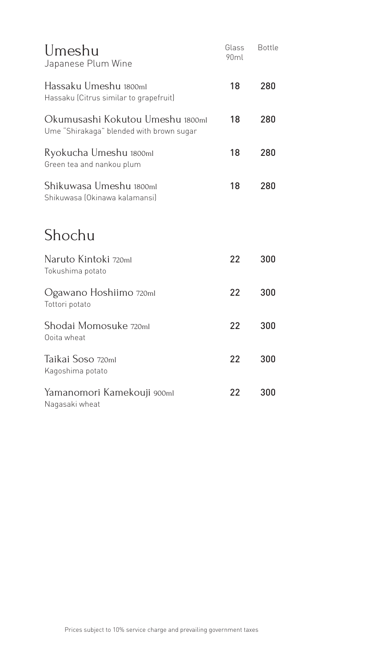| Umeshu<br>Japanese Plum Wine                                                 | Glass<br>90ml | <b>Bottle</b> |
|------------------------------------------------------------------------------|---------------|---------------|
| Hassaku Umeshu 1800ml<br>Hassaku (Citrus similar to grapefruit)              | 18            | 280           |
| Okumusashi Kokutou Umeshu 1800ml<br>Ume "Shirakaga" blended with brown sugar | 18            | 280           |
| Ryokucha Umeshu 1800ml<br>Green tea and nankou plum                          | 18            | 280           |
| Shikuwasa Umeshu 1800ml<br>Shikuwasa (Okinawa kalamansi)                     | 18            | 280           |
| Shochu                                                                       |               |               |
| Naruto Kintoki 720ml<br>Tokushima potato                                     | 22            | 300           |
| Ogawano Hoshiimo 720ml<br>Tottori potato                                     | 22            | 300           |
| Shodai Momosuke 720ml<br>Ooita wheat                                         | 22            | 300           |
| Taikai Soso 720ml<br>Kagoshima potato                                        | 22            | 300           |
| Yamanomori Kamekouji 900ml<br>Nagasaki wheat                                 | 22            | 300           |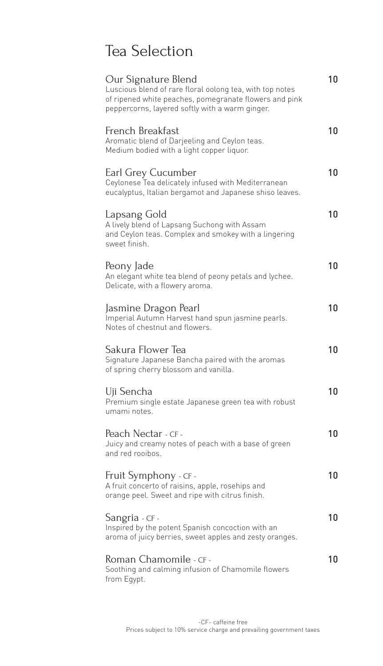# Tea Selection

| Our Signature Blend<br>Luscious blend of rare floral oolong tea, with top notes<br>of ripened white peaches, pomegranate flowers and pink<br>peppercorns, layered softly with a warm ginger. | 10 |
|----------------------------------------------------------------------------------------------------------------------------------------------------------------------------------------------|----|
| French Breakfast<br>Aromatic blend of Darjeeling and Ceylon teas.<br>Medium bodied with a light copper liquor.                                                                               | 10 |
| Earl Grey Cucumber<br>Ceylonese Tea delicately infused with Mediterranean<br>eucalyptus, Italian bergamot and Japanese shiso leaves.                                                         | 10 |
| Lapsang Gold<br>A lively blend of Lapsang Suchong with Assam<br>and Ceylon teas. Complex and smokey with a lingering<br>sweet finish.                                                        | 10 |
| Peony Jade<br>An elegant white tea blend of peony petals and lychee.<br>Delicate, with a flowery aroma.                                                                                      | 10 |
| Jasmine Dragon Pearl<br>Imperial Autumn Harvest hand spun jasmine pearls.<br>Notes of chestnut and flowers.                                                                                  | 10 |
| Sakura Flower Tea<br>Signature Japanese Bancha paired with the aromas<br>of spring cherry blossom and vanilla.                                                                               | 10 |
| Uji Sencha<br>Premium single estate Japanese green tea with robust<br>umami notes.                                                                                                           | 10 |
| Peach Nectar - CF -<br>Juicy and creamy notes of peach with a base of green<br>and red rooibos.                                                                                              | 10 |
| Fruit Symphony - CF -<br>A fruit concerto of raisins, apple, rosehips and<br>orange peel. Sweet and ripe with citrus finish.                                                                 | 10 |
| Sangria - CF -<br>Inspired by the potent Spanish concoction with an<br>aroma of juicy berries, sweet apples and zesty oranges.                                                               | 10 |
| Roman Chamomile - CF -<br>Soothing and calming infusion of Chamomile flowers<br>from Egypt.                                                                                                  | 10 |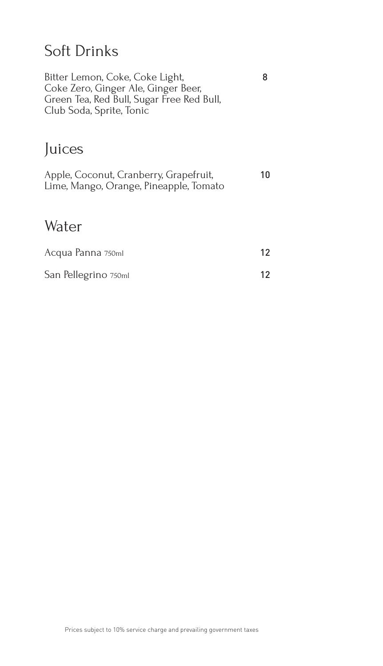# Soft Drinks

| Bitter Lemon, Coke, Coke Light,<br>Coke Zero, Ginger Ale, Ginger Beer,<br>Green Tea, Red Bull, Sugar Free Red Bull,<br>Club Soda, Sprite, Tonic | 8               |
|-------------------------------------------------------------------------------------------------------------------------------------------------|-----------------|
| Juices                                                                                                                                          |                 |
| Apple, Coconut, Cranberry, Grapefruit,<br>Lime, Mango, Orange, Pineapple, Tomato                                                                | 10              |
| Water                                                                                                                                           |                 |
| Acqua Panna 750ml                                                                                                                               | 12 <sup>2</sup> |
| San Pellegrino 750ml                                                                                                                            | 12.             |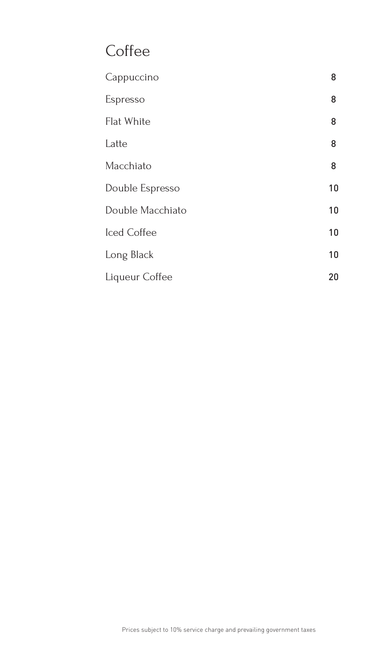# **Coffee**

| Cappuccino       | 8  |
|------------------|----|
| Espresso         | 8  |
| Flat White       | 8  |
| Latte            | 8  |
| Macchiato        | 8  |
| Double Espresso  | 10 |
| Double Macchiato | 10 |
| Iced Coffee      | 10 |
| Long Black       | 10 |
| Liqueur Coffee   | 20 |